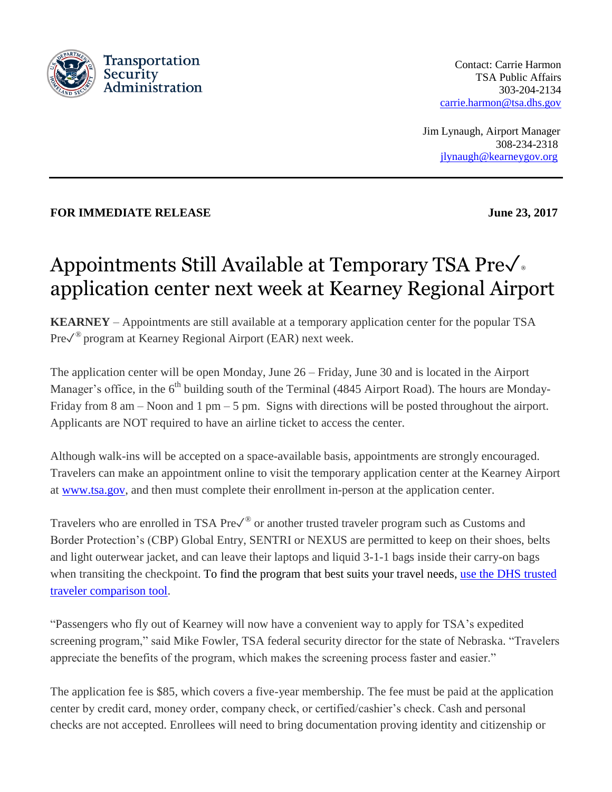

Contact: Carrie Harmon TSA Public Affairs 303-204-2134 [carrie.harmon@tsa.dhs.gov](mailto:carrie.harmon@tsa.dhs.gov)

**Jim Lynaugh, Airport Manager**  308-234-2318 [jlynaugh@kearneygov.org](mailto:jlynaugh@kearneygov.org)

## **FOR IMMEDIATE RELEASE** June 23, 2017

## Appointments Still Available at Temporary TSA Preè application center next week at Kearney Regional Airport

**KEARNEY** – Appointments are still available at a temporary application center for the popular TSA Pre√<sup>®</sup> program at Kearney Regional Airport (EAR) next week.

The application center will be open Monday, June 26 – Friday, June 30 and is located in the Airport Manager's office, in the 6<sup>th</sup> building south of the Terminal (4845 Airport Road). The hours are Monday-Friday from 8 am – Noon and 1 pm – 5 pm. Signs with directions will be posted throughout the airport. Applicants are NOT required to have an airline ticket to access the center.

Although walk-ins will be accepted on a space-available basis, appointments are strongly encouraged. Travelers can make an appointment online to visit the temporary application center at the Kearney Airport at [www.tsa.gov,](http://www.tsa.gov/) and then must complete their enrollment in-person at the application center.

Travelers who are enrolled in TSA Pre $\checkmark^\circ$  or another trusted traveler program such as Customs and Border Protection's (CBP) Global Entry, SENTRI or NEXUS are permitted to keep on their shoes, belts and light outerwear jacket, and can leave their laptops and liquid 3-1-1 bags inside their carry-on bags when transiting the checkpoint. To find the program that best suits your travel needs, use the DHS [trusted](https://www.dhs.gov/trusted-traveler-programs) traveler [comparison](https://www.dhs.gov/trusted-traveler-programs) tool.

"Passengers who fly out of Kearney will now have a convenient way to apply for TSA's expedited screening program," said Mike Fowler, TSA federal security director for the state of Nebraska. "Travelers appreciate the benefits of the program, which makes the screening process faster and easier."

The application fee is \$85, which covers a five-year membership. The fee must be paid at the application center by credit card, money order, company check, or certified/cashier's check. Cash and personal checks are not accepted. Enrollees will need to bring documentation proving identity and citizenship or